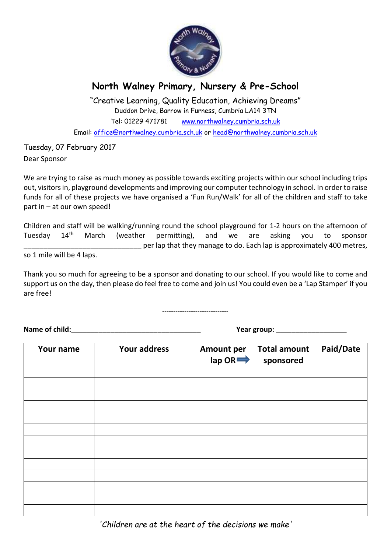

## **North Walney Primary, Nursery & Pre-School**

"Creative Learning, Quality Education, Achieving Dreams" Duddon Drive, Barrow in Furness, Cumbria LA14 3TN Tel: 01229 471781 www.northwalney.cumbria.sch.uk Email: office@northwalney.cumbria.sch.uk or head@northwalney.cumbria.sch.uk

Tuesday, 07 February 2017 Dear Sponsor

We are trying to raise as much money as possible towards exciting projects within our school including trips out, visitors in, playground developments and improving our computer technology in school. In order to raise funds for all of these projects we have organised a 'Fun Run/Walk' for all of the children and staff to take part in – at our own speed!

Children and staff will be walking/running round the school playground for 1-2 hours on the afternoon of Tuesday 14th March (weather permitting), and we are asking you to sponsor per lap that they manage to do. Each lap is approximately 400 metres,

so 1 mile will be 4 laps.

Thank you so much for agreeing to be a sponsor and donating to our school. If you would like to come and support us on the day, then please do feel free to come and join us! You could even be a 'Lap Stamper' if you are free!

------------------------------

Name of child: The contract of the contract of child: The contract of the contract of the contract of the contract of the contract of the contract of the contract of the contract of the contract of the contract of the cont

| Your name | <b>Your address</b> | <b>Amount per</b><br>$\mathsf{lap}\,\mathsf{OR} \Longrightarrow$ | <b>Total amount</b><br>sponsored | Paid/Date |
|-----------|---------------------|------------------------------------------------------------------|----------------------------------|-----------|
|           |                     |                                                                  |                                  |           |
|           |                     |                                                                  |                                  |           |
|           |                     |                                                                  |                                  |           |
|           |                     |                                                                  |                                  |           |
|           |                     |                                                                  |                                  |           |
|           |                     |                                                                  |                                  |           |
|           |                     |                                                                  |                                  |           |
|           |                     |                                                                  |                                  |           |
|           |                     |                                                                  |                                  |           |
|           |                     |                                                                  |                                  |           |
|           |                     |                                                                  |                                  |           |
|           |                     |                                                                  |                                  |           |
|           |                     |                                                                  |                                  |           |

*'Children are at the heart of the decisions we make'*